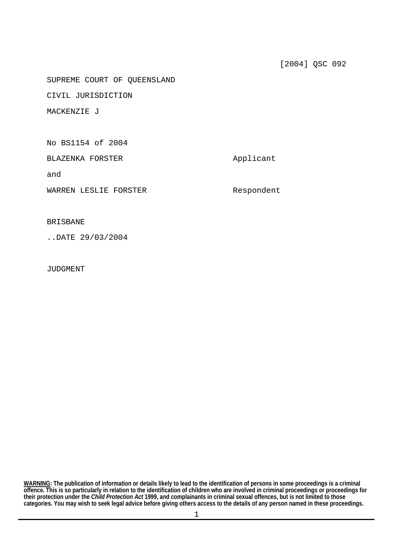SUPREME COURT OF QUEENSLAND

CIVIL JURISDICTION

MACKENZIE J

No BS1154 of 2004

BLAZENKA FORSTER Applicant

and

WARREN LESLIE FORSTER Respondent

## BRISBANE

..DATE 29/03/2004

JUDGMENT

**categories. You may wish to seek legal advice before giving others access to the details of any person named in these proceedings. WARNING: The publication of information or details likely to lead to the identification of persons in some proceedings is a criminal offence. This is so particularly in relation to the identification of children who are involved in criminal proceedings or proceedings for their protection under the** *Child Protection Act* **1999, and complainants in criminal sexual offences, but is not limited to those**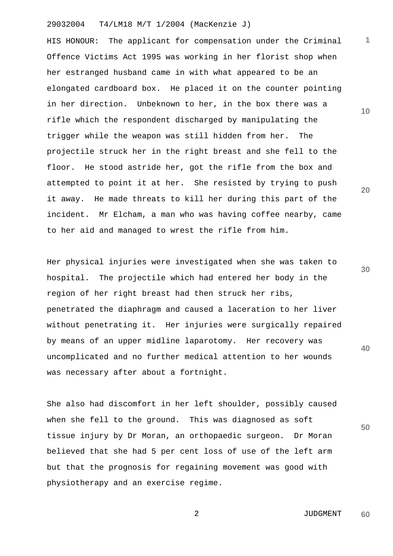## 29032004 T4/LM18 M/T 1/2004 (MacKenzie J)

HIS HONOUR: The applicant for compensation under the Criminal Offence Victims Act 1995 was working in her florist shop when her estranged husband came in with what appeared to be an elongated cardboard box. He placed it on the counter pointing in her direction. Unbeknown to her, in the box there was a rifle which the respondent discharged by manipulating the trigger while the weapon was still hidden from her. The projectile struck her in the right breast and she fell to the floor. He stood astride her, got the rifle from the box and attempted to point it at her. She resisted by trying to push it away. He made threats to kill her during this part of the incident. Mr Elcham, a man who was having coffee nearby, came to her aid and managed to wrest the rifle from him.

Her physical injuries were investigated when she was taken to hospital. The projectile which had entered her body in the region of her right breast had then struck her ribs, penetrated the diaphragm and caused a laceration to her liver without penetrating it. Her injuries were surgically repaired by means of an upper midline laparotomy. Her recovery was uncomplicated and no further medical attention to her wounds was necessary after about a fortnight.

She also had discomfort in her left shoulder, possibly caused when she fell to the ground. This was diagnosed as soft tissue injury by Dr Moran, an orthopaedic surgeon. Dr Moran believed that she had 5 per cent loss of use of the left arm but that the prognosis for regaining movement was good with physiotherapy and an exercise regime.

**10** 

**1**

**20** 

**30**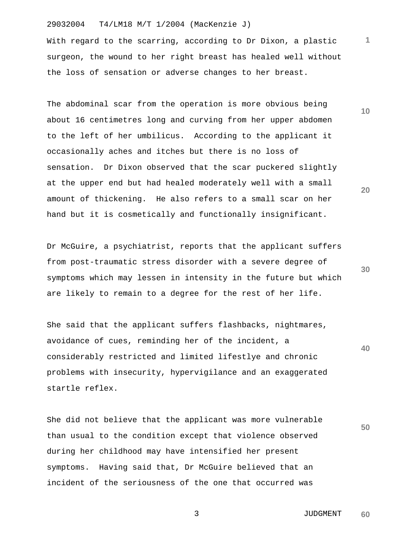## 29032004 T4/LM18 M/T 1/2004 (MacKenzie J)

With regard to the scarring, according to Dr Dixon, a plastic surgeon, the wound to her right breast has healed well without the loss of sensation or adverse changes to her breast.

The abdominal scar from the operation is more obvious being about 16 centimetres long and curving from her upper abdomen to the left of her umbilicus. According to the applicant it occasionally aches and itches but there is no loss of sensation. Dr Dixon observed that the scar puckered slightly at the upper end but had healed moderately well with a small amount of thickening. He also refers to a small scar on her hand but it is cosmetically and functionally insignificant.

Dr McGuire, a psychiatrist, reports that the applicant suffers from post-traumatic stress disorder with a severe degree of symptoms which may lessen in intensity in the future but which are likely to remain to a degree for the rest of her life.

She said that the applicant suffers flashbacks, nightmares, avoidance of cues, reminding her of the incident, a considerably restricted and limited lifestlye and chronic problems with insecurity, hypervigilance and an exaggerated startle reflex.

She did not believe that the applicant was more vulnerable than usual to the condition except that violence observed during her childhood may have intensified her present symptoms. Having said that, Dr McGuire believed that an incident of the seriousness of the one that occurred was

**10** 

**1**

**20** 

**40**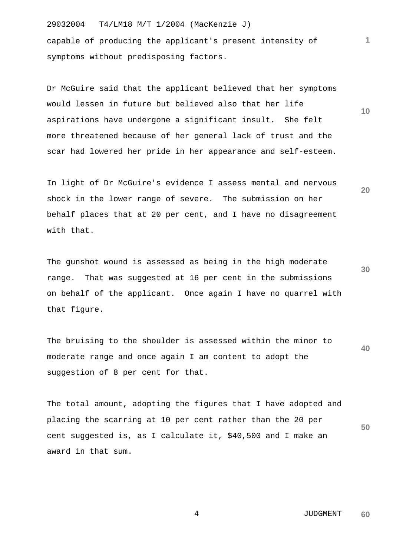29032004 T4/LM18 M/T 1/2004 (MacKenzie J) capable of producing the applicant's present intensity of symptoms without predisposing factors.

Dr McGuire said that the applicant believed that her symptoms would lessen in future but believed also that her life aspirations have undergone a significant insult. She felt more threatened because of her general lack of trust and the scar had lowered her pride in her appearance and self-esteem.

In light of Dr McGuire's evidence I assess mental and nervous shock in the lower range of severe. The submission on her behalf places that at 20 per cent, and I have no disagreement with that.

The gunshot wound is assessed as being in the high moderate range. That was suggested at 16 per cent in the submissions on behalf of the applicant. Once again I have no quarrel with that figure.

**40**  The bruising to the shoulder is assessed within the minor to moderate range and once again I am content to adopt the suggestion of 8 per cent for that.

**50**  The total amount, adopting the figures that I have adopted and placing the scarring at 10 per cent rather than the 20 per cent suggested is, as I calculate it, \$40,500 and I make an award in that sum.

> 4 JUDGMENT **60**

**30** 

**1**

**10**